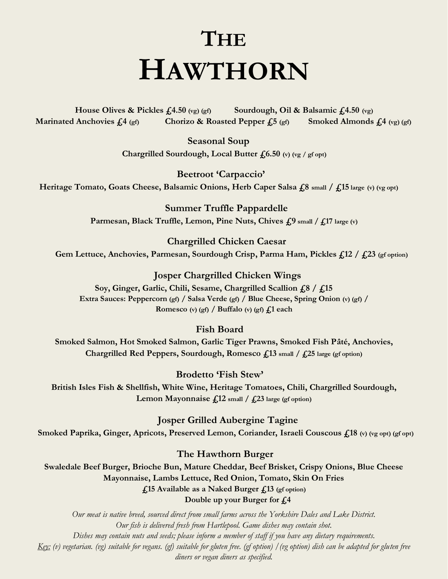# **THE HAWTHORN**

 **House Olives & Pickles £4.50 (vg) (gf) Sourdough, Oil & Balsamic £4.50 (vg) Marinated Anchovies £4 (gf) Chorizo & Roasted Pepper £5 (gf) Smoked Almonds £4 (vg) (gf)** 

> **Seasonal Soup Chargrilled Sourdough, Local Butter £6.50 (v) (vg / gf opt)**

**Beetroot 'Carpaccio' Heritage Tomato, Goats Cheese, Balsamic Onions, Herb Caper Salsa £8 small / £15 large (v) (vg opt)**

> **Summer Truffle Pappardelle Parmesan, Black Truffle, Lemon, Pine Nuts, Chives £9 small / £17 large (v)**

 **Chargrilled Chicken Caesar Gem Lettuce, Anchovies, Parmesan, Sourdough Crisp, Parma Ham, Pickles £12 / £23 (gf option)**

 **Josper Chargrilled Chicken Wings Soy, Ginger, Garlic, Chili, Sesame, Chargrilled Scallion £8 / £15 Extra Sauces: Peppercorn (gf) / Salsa Verde (gf) / Blue Cheese, Spring Onion (v) (gf) / Romesco (v)** (gf)  $\int$  **Buffalo (v)** (gf)  $\int$  **£** ach

 **Fish Board**

**Smoked Salmon, Hot Smoked Salmon, Garlic Tiger Prawns, Smoked Fish Pâté, Anchovies, Chargrilled Red Peppers, Sourdough, Romesco £13 small / £25 large (gf option)**

 **Brodetto 'Fish Stew' British Isles Fish & Shellfish, White Wine, Heritage Tomatoes, Chili, Chargrilled Sourdough, Lemon Mayonnaise £12 small / £23 large (gf option)**

 **Josper Grilled Aubergine Tagine Smoked Paprika, Ginger, Apricots, Preserved Lemon, Coriander, Israeli Couscous £18 (v) (vg opt) (gf opt)**

 **The Hawthorn Burger**

**Swaledale Beef Burger, Brioche Bun, Mature Cheddar, Beef Brisket, Crispy Onions, Blue Cheese Mayonnaise, Lambs Lettuce, Red Onion, Tomato, Skin On Fries £15 Available as a Naked Burger £13 (gf option) Double up your Burger for £4**

*Our meat is native breed, sourced direct from small farms across the Yorkshire Dales and Lake District. Our fish is delivered fresh from Hartlepool. Game dishes may contain shot. Dishes may contain nuts and seeds; please inform a member of staff if you have any dietary requirements. Key: (v) vegetarian. (vg) suitable for vegans. (gf) suitable for gluten free. (gf option) /(vg option) dish can be adapted for gluten free diners or vegan diners as specified.*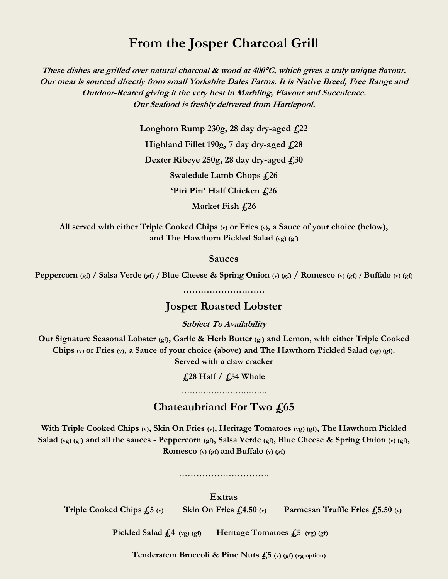# **From the Josper Charcoal Grill**

**These dishes are grilled over natural charcoal & wood at 400°C, which gives a truly unique flavour. Our meat is sourced directly from small Yorkshire Dales Farms. It is Native Breed, Free Range and Outdoor-Reared giving it the very best in Marbling, Flavour and Succulence. Our Seafood is freshly delivered from Hartlepool.**

> **Longhorn Rump 230g, 28 day dry-aged £22 Highland Fillet 190g, 7 day dry-aged £28 Dexter Ribeye 250g, 28 day dry-aged £30 Swaledale Lamb Chops £26 'Piri Piri' Half Chicken £26 Market Fish £26**

**All served with either Triple Cooked Chips (v) or Fries (v), a Sauce of your choice (below), and The Hawthorn Pickled Salad (vg) (gf)**

#### **Sauces**

**Peppercorn (gf) / Salsa Verde (gf) / Blue Cheese & Spring Onion (v) (gf) / Romesco (v) (gf) / Buffalo (v) (gf)**

**……………………….**

### **Josper Roasted Lobster**

**Subject To Availability**

**Our Signature Seasonal Lobster (gf), Garlic & Herb Butter (gf) and Lemon, with either Triple Cooked Chips (v) or Fries (v), a Sauce of your choice (above) and The Hawthorn Pickled Salad (vg) (gf). Served with a claw cracker** 

**£28 Half / £54 Whole** 

**…………………………..**

## **Chateaubriand For Two £65**

**With Triple Cooked Chips (v), Skin On Fries (v), Heritage Tomatoes (vg) (gf), The Hawthorn Pickled Salad (vg) (gf) and all the sauces - Peppercorn (gf), Salsa Verde (gf), Blue Cheese & Spring Onion (v) (gf), Romesco (v) (gf) and Buffalo (v) (gf)**

**………………………….**

**Extras**

 **Triple Cooked Chips £5 (v) Skin On Fries £4.50 (v) Parmesan Truffle Fries £5.50 (v)**

 **Pickled Salad £4 (vg) (gf) Heritage Tomatoes £5 (vg) (gf)**

 **Tenderstem Broccoli & Pine Nuts £5 (v) (gf) (vg option)**